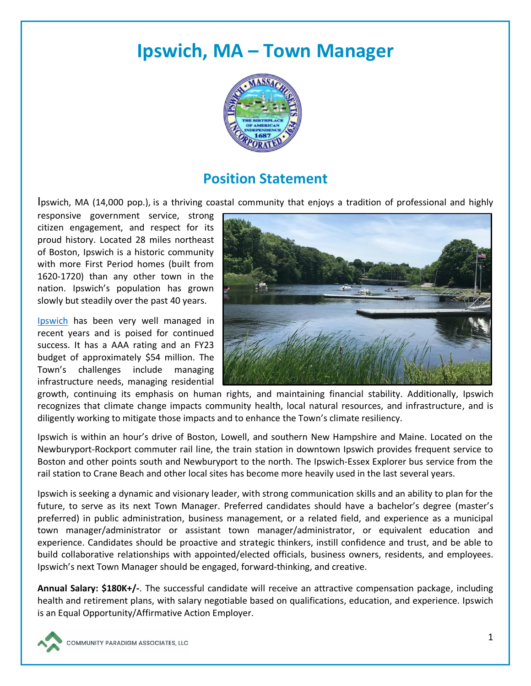# **Ipswich, MA – Town Manager**



## **Position Statement**

Ipswich, MA (14,000 pop.), is a thriving coastal community that enjoys a tradition of professional and highly

responsive government service, strong citizen engagement, and respect for its proud history. Located 28 miles northeast of Boston, Ipswich is a historic community with more First Period homes (built from 1620-1720) than any other town in the nation. Ipswich's population has grown slowly but steadily over the past 40 years.

[Ipswich](https://www.ipswichma.gov/) has been very well managed in recent years and is poised for continued success. It has a AAA rating and an FY23 budget of approximately \$54 million. The Town's challenges include managing infrastructure needs, managing residential



growth, continuing its emphasis on human rights, and maintaining financial stability. Additionally, Ipswich recognizes that climate change impacts community health, local natural resources, and infrastructure, and is diligently working to mitigate those impacts and to enhance the Town's climate resiliency.

Ipswich is within an hour's drive of Boston, Lowell, and southern New Hampshire and Maine. Located on the Newburyport-Rockport commuter rail line, the train station in downtown Ipswich provides frequent service to Boston and other points south and Newburyport to the north. The Ipswich-Essex Explorer bus service from the rail station to Crane Beach and other local sites has become more heavily used in the last several years.

Ipswich is seeking a dynamic and visionary leader, with strong communication skills and an ability to plan for the future, to serve as its next Town Manager. Preferred candidates should have a bachelor's degree (master's preferred) in public administration, business management, or a related field, and experience as a municipal town manager/administrator or assistant town manager/administrator, or equivalent education and experience. Candidates should be proactive and strategic thinkers, instill confidence and trust, and be able to build collaborative relationships with appointed/elected officials, business owners, residents, and employees. Ipswich's next Town Manager should be engaged, forward-thinking, and creative.

**Annual Salary: \$180K+/-**. The successful candidate will receive an attractive compensation package, including health and retirement plans, with salary negotiable based on qualifications, education, and experience. Ipswich is an Equal Opportunity/Affirmative Action Employer.

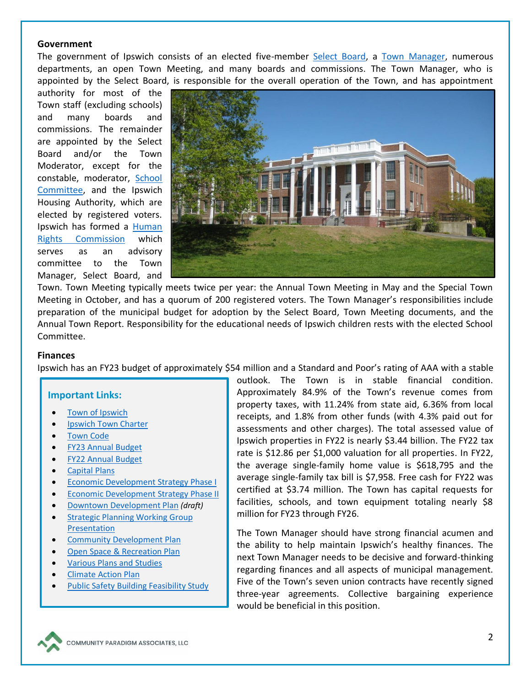#### **Government**

The government of Ipswich consists of an elected five-member [Select Board,](https://www.ipswichma.gov/272/Select-Board-Formerly-Board-of-Selectmen) a [Town Manager,](https://www.ipswichma.gov/237/Town-Manager) numerous departments, an open Town Meeting, and many boards and commissions. The Town Manager, who is appointed by the Select Board, is responsible for the overall operation of the Town, and has appointment

authority for most of the Town staff (excluding schools) and many boards and commissions. The remainder are appointed by the Select Board and/or the Town Moderator, except for the constable, moderator, [School](https://www.ipsk12.net/domain/17)  [Committee,](https://www.ipsk12.net/domain/17) and the Ipswich Housing Authority, which are elected by registered voters. Ipswich has formed a Human [Rights Commission](https://www.ipswichma.gov/929/Ipswich-Human-Rights-Commission) which serves as an advisory committee to the Town Manager, Select Board, and



Town. Town Meeting typically meets twice per year: the Annual Town Meeting in May and the Special Town Meeting in October, and has a quorum of 200 registered voters. The Town Manager's responsibilities include preparation of the municipal budget for adoption by the Select Board, Town Meeting documents, and the Annual Town Report. Responsibility for the educational needs of Ipswich children rests with the elected School Committee.

#### **Finances**

Ipswich has an FY23 budget of approximately \$54 million and a Standard and Poor's rating of AAA with a stable

#### **Important Links:**

- Town [of Ipswich](https://www.ipswichma.gov/)
- Ipswich [Town Charter](https://ecode360.com/15404681)
- **[Town](https://ecode360.com/IP3025) Code**
- [FY23 Annual](https://www.ipswichma.gov/DocumentCenter/View/13960/FY2023-Proposed-Annual-Budget) Budget
- [FY22 Annual Budget](https://www.ipswichma.gov/ArchiveCenter/ViewFile/Item/759)
- [Capital Plans](https://www.ipswichma.gov/Archive.aspx?AMID=46)
- [Economic Development Strategy Phase I](https://www.ipswichma.gov/DocumentCenter/View/7918/econ-develop-strategy-8-25-15?bidId=)
- [Economic Development Strategy Phase II](https://www.ipswichma.gov/DocumentCenter/View/9633/econ-develop-strategy-Phase-II-7-24-17-final-draft?bidId=)
- [Downtown Development Plan](https://www.ipswichma.gov/DocumentCenter/View/9661/DDP-latest_draft_9-14-09?bidId=) *(draft)*
- [Strategic Planning Working Group](https://www.ipswichma.gov/DocumentCenter/View/12606/Strategic-Planning-Working-Group-Presentation-?bidId=)  [Presentation](https://www.ipswichma.gov/DocumentCenter/View/12606/Strategic-Planning-Working-Group-Presentation-?bidId=)
- Community [Development Plan](https://www.ipswichma.gov/DocumentCenter/View/13025/Ipswich_CDP_Report-_Final-April-2021)
- [Open Space & Recreation Plan](https://content.civicplus.com/api/assets/3d9317bd-bb9a-4f86-9445-18451ed5eb8d)
- [Various Plans and Studies](https://www.ipswichma.gov/718/Plans-and-Studies)
- **[Climate Action Plan](https://www.ipswichma.gov/DocumentCenter/View/474/Climate-Action-Plan-PDF)**
- [Public Safety Building Feasibility Study](https://ipswichsafety.com/wp-content/uploads/sites/238/2021/06/Ipswich-Public-Safety-Building-Feasibility-Study-Report-21831-05-15-21.pdf)

outlook. The Town is in stable financial condition. Approximately 84.9% of the Town's revenue comes from property taxes, with 11.24% from state aid, 6.36% from local receipts, and 1.8% from other funds (with 4.3% paid out for assessments and other charges). The total assessed value of Ipswich properties in FY22 is nearly \$3.44 billion. The FY22 tax rate is \$12.86 per \$1,000 valuation for all properties. In FY22, the average single-family home value is \$618,795 and the average single-family tax bill is \$7,958. Free cash for FY22 was certified at \$3.74 million. The Town has capital requests for facilities, schools, and town equipment totaling nearly \$8 million for FY23 through FY26.

The Town Manager should have strong financial acumen and the ability to help maintain Ipswich's healthy finances. The next Town Manager needs to be decisive and forward-thinking regarding finances and all aspects of municipal management. Five of the Town's seven union contracts have recently signed three-year agreements. Collective bargaining experience would be beneficial in this position.

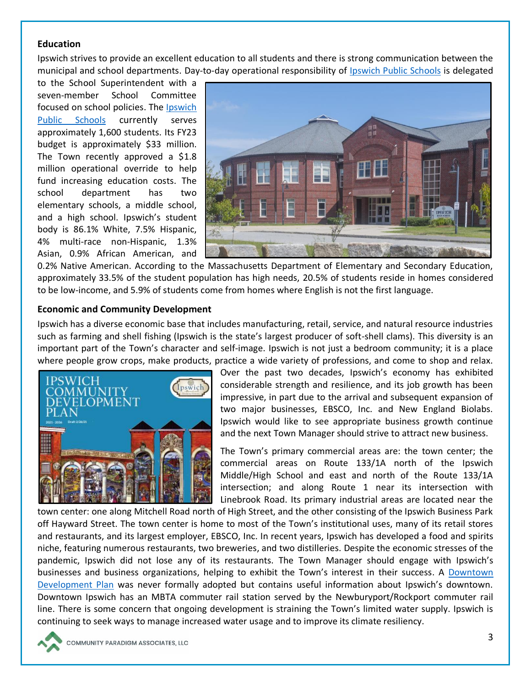#### **Education**

Ipswich strives to provide an excellent education to all students and there is strong communication between the municipal and school departments. Day-to-day operational responsibility of [Ipswich Public Schools](https://www.ipsk12.net/pages/Ipswich) is delegated

to the School Superintendent with a seven-member School Committee focused on school policies. The [Ipswich](https://www.ipsk12.net/)  [Public Schools](https://www.ipsk12.net/) currently serves approximately 1,600 students. Its FY23 budget is approximately \$33 million. The Town recently approved a \$1.8 million operational override to help fund increasing education costs. The school department has two elementary schools, a middle school, and a high school. Ipswich's student body is 86.1% White, 7.5% Hispanic, 4% multi-race non-Hispanic, 1.3% Asian, 0.9% African American, and



0.2% Native American. According to the Massachusetts Department of Elementary and Secondary Education, approximately 33.5% of the student population has high needs, 20.5% of students reside in homes considered to be low-income, and 5.9% of students come from homes where English is not the first language.

#### **Economic and Community Development**

Ipswich has a diverse economic base that includes manufacturing, retail, service, and natural resource industries such as farming and shell fishing (Ipswich is the state's largest producer of soft-shell clams). This diversity is an important part of the Town's character and self-image. Ipswich is not just a bedroom community; it is a place where people grow crops, make products, practice a wide variety of professions, and come to shop and relax.



Over the past two decades, Ipswich's economy has exhibited considerable strength and resilience, and its job growth has been impressive, in part due to the arrival and subsequent expansion of two major businesses, EBSCO, Inc. and New England Biolabs. Ipswich would like to see appropriate business growth continue and the next Town Manager should strive to attract new business.

The Town's primary commercial areas are: the town center; the commercial areas on Route 133/1A north of the Ipswich Middle/High School and east and north of the Route 133/1A intersection; and along Route 1 near its intersection with Linebrook Road. Its primary industrial areas are located near the

town center: one along Mitchell Road north of High Street, and the other consisting of the Ipswich Business Park off Hayward Street. The town center is home to most of the Town's institutional uses, many of its retail stores and restaurants, and its largest employer, EBSCO, Inc. In recent years, Ipswich has developed a food and spirits niche, featuring numerous restaurants, two breweries, and two distilleries. Despite the economic stresses of the pandemic, Ipswich did not lose any of its restaurants. The Town Manager should engage with Ipswich's businesses and business organizations, helping to exhibit the Town's interest in their success. A [Downtown](https://www.ipswichma.gov/DocumentCenter/View/9661/DDP-latest_draft_9-14-09?bidId=)  [Development Plan](https://www.ipswichma.gov/DocumentCenter/View/9661/DDP-latest_draft_9-14-09?bidId=) was never formally adopted but contains useful information about Ipswich's downtown. Downtown Ipswich has an MBTA commuter rail station served by the Newburyport/Rockport commuter rail line. There is some concern that ongoing development is straining the Town's limited water supply. Ipswich is continuing to seek ways to manage increased water usage and to improve its climate resiliency.

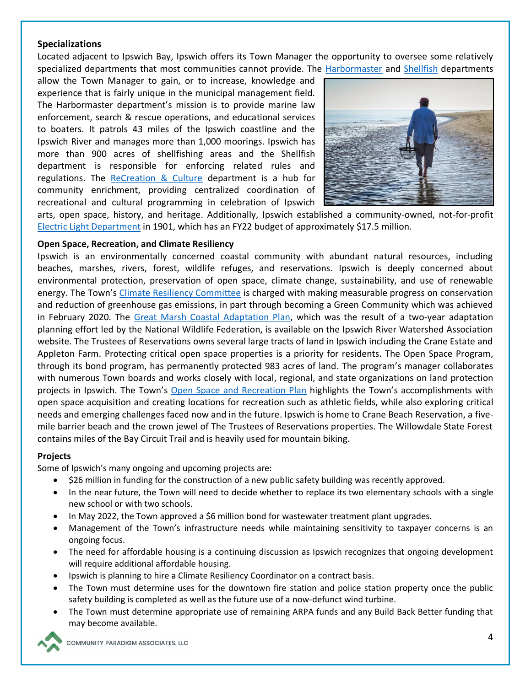#### **Specializations**

Located adjacent to Ipswich Bay, Ipswich offers its Town Manager the opportunity to oversee some relatively specialized departments that most communities cannot provide. The [Harbormaster](https://ipswichsafety.com/harbormaster/) and [Shellfish](https://ipswichsafety.com/shellfish/) departments

allow the Town Manager to gain, or to increase, knowledge and experience that is fairly unique in the municipal management field. The Harbormaster department's mission is to provide marine law enforcement, search & rescue operations, and educational services to boaters. It patrols 43 miles of the Ipswich coastline and the Ipswich River and manages more than 1,000 moorings. Ipswich has more than 900 acres of shellfishing areas and the Shellfish department is responsible for enforcing related rules and regulations. The [ReCreation & Culture](https://www.ipswichma.gov/194/ReCreation-Culture) department is a hub for community enrichment, providing centralized coordination of recreational and cultural programming in celebration of Ipswich



arts, open space, history, and heritage. Additionally, Ipswich established a community-owned, not-for-profit [Electric Light Department](https://www.ipswichma.gov/369/Electric) in 1901, which has an FY22 budget of approximately \$17.5 million.

#### **Open Space, Recreation, and Climate Resiliency**

Ipswich is an environmentally concerned coastal community with abundant natural resources, including beaches, marshes, rivers, forest, wildlife refuges, and reservations. Ipswich is deeply concerned about environmental protection, preservation of open space, climate change, sustainability, and use of renewable energy. The Town's [Climate Resiliency Committee](https://www.ipswichma.gov/848/Climate-Resiliency-Committee) is charged with making measurable progress on conservation and reduction of greenhouse gas emissions, in part through becoming a Green Community which was achieved in February 2020. The [Great Marsh Coastal Adaptation Plan,](https://www.nwf.org/greatmarshadaptation) which was the result of a two-year adaptation planning effort led by the National Wildlife Federation, is available on the Ipswich River Watershed Association website. The Trustees of Reservations owns several large tracts of land in Ipswich including the Crane Estate and Appleton Farm. Protecting critical open space properties is a priority for residents. The Open Space Program, through its bond program, has permanently protected 983 acres of land. The program's manager collaborates with numerous Town boards and works closely with local, regional, and state organizations on land protection projects in Ipswich. The Town's [Open Space and Recreation Plan](https://www.ipswichma.gov/DocumentCenter/View/13941/2020-Ipswich-Open-Space-and-Recreation-Plan?bidId=) highlights the Town's accomplishments with open space acquisition and creating locations for recreation such as athletic fields, while also exploring critical needs and emerging challenges faced now and in the future. Ipswich is home to Crane Beach Reservation, a fivemile barrier beach and the crown jewel of The Trustees of Reservations properties. The Willowdale State Forest contains miles of the Bay Circuit Trail and is heavily used for mountain biking.

#### **Projects**

Some of Ipswich's many ongoing and upcoming projects are:

- \$26 million in funding for the construction of a new public safety building was recently approved.
- In the near future, the Town will need to decide whether to replace its two elementary schools with a single new school or with two schools.
- In May 2022, the Town approved a \$6 million bond for wastewater treatment plant upgrades.
- Management of the Town's infrastructure needs while maintaining sensitivity to taxpayer concerns is an ongoing focus.
- The need for affordable housing is a continuing discussion as Ipswich recognizes that ongoing development will require additional affordable housing.
- Ipswich is planning to hire a Climate Resiliency Coordinator on a contract basis.
- The Town must determine uses for the downtown fire station and police station property once the public safety building is completed as well as the future use of a now-defunct wind turbine.
- The Town must determine appropriate use of remaining ARPA funds and any Build Back Better funding that may become available.